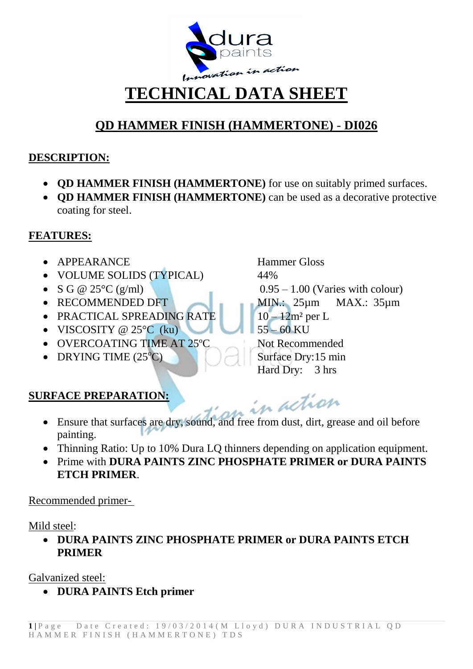

## **TECHNICAL DATA SHEET**

### **QD HAMMER FINISH (HAMMERTONE)** - **DI026**

#### **DESCRIPTION:**

- **QD HAMMER FINISH (HAMMERTONE)** for use on suitably primed surfaces.
- **QD HAMMER FINISH (HAMMERTONE)** can be used as a decorative protective coating for steel.

#### **FEATURES:**

- APPEARANCE Hammer Gloss
- VOLUME SOLIDS (TYPICAL) 44%
- 
- 
- PRACTICAL SPREADING RATE 10 12m<sup>2</sup> per L
- VISCOSITY @  $25^{\circ}$ C (ku) 55 60 KU
- OVERCOATING TIME AT 25<sup>o</sup>C Not Recommended
- DRYING TIME  $(25^{\circ}C)$  Surface Dry:15 min

• S G @  $25^{\circ}$ C (g/ml) 0.95 – 1.00 (Varies with colour) • RECOMMENDED DFT MIN.: 25µm MAX.: 35µm Hard Dry: 3 hrs

in action

#### **SURFACE PREPARATION:**

- Ensure that surfaces are dry, sound, and free from dust, dirt, grease and oil before painting.
- Thinning Ratio: Up to 10% Dura LQ thinners depending on application equipment.
- Prime with **DURA PAINTS ZINC PHOSPHATE PRIMER or DURA PAINTS ETCH PRIMER**.

Recommended primer-

#### Mild steel:

 **DURA PAINTS ZINC PHOSPHATE PRIMER or DURA PAINTS ETCH PRIMER**

Galvanized steel:

**DURA PAINTS Etch primer**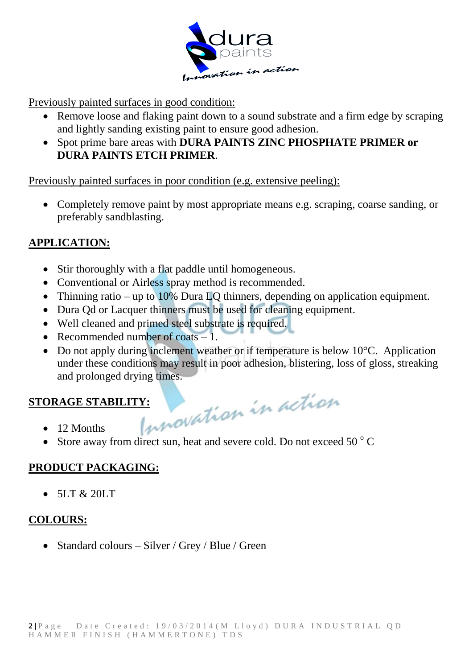

Previously painted surfaces in good condition:

- Remove loose and flaking paint down to a sound substrate and a firm edge by scraping and lightly sanding existing paint to ensure good adhesion.
- Spot prime bare areas with **DURA PAINTS ZINC PHOSPHATE PRIMER or DURA PAINTS ETCH PRIMER**.

Previously painted surfaces in poor condition (e.g. extensive peeling):

 Completely remove paint by most appropriate means e.g. scraping, coarse sanding, or preferably sandblasting.

#### **APPLICATION:**

- Stir thoroughly with a flat paddle until homogeneous.
- Conventional or Airless spray method is recommended.
- Thinning ratio up to 10% Dura LQ thinners, depending on application equipment.
- Dura Od or Lacquer thinners must be used for cleaning equipment.
- Well cleaned and primed steel substrate is required.
- Recommended number of coats  $-1$ .
- Do not apply during inclement weather or if temperature is below 10<sup>o</sup>C. Application under these conditions may result in poor adhesion, blistering, loss of gloss, streaking and prolonged drying times.

# STORAGE STABILITY: 12 Months 12 Months

- 12 Months
- Store away from direct sun, heat and severe cold. Do not exceed 50  $\degree$  C

#### **PRODUCT PACKAGING:**

 $\bullet$  5LT & 20LT

#### **COLOURS:**

• Standard colours – Silver / Grey / Blue / Green